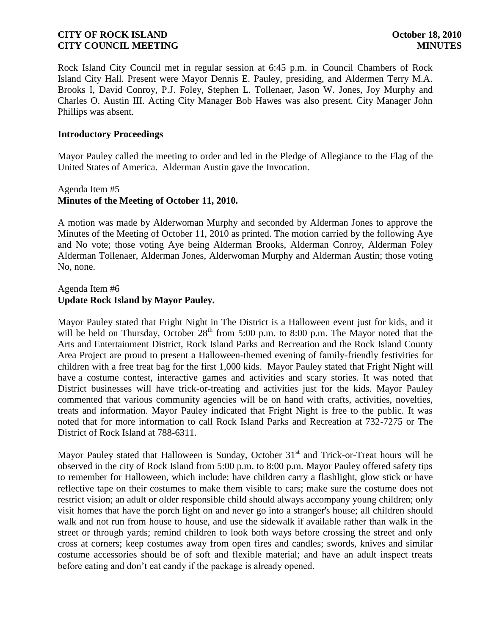Rock Island City Council met in regular session at 6:45 p.m. in Council Chambers of Rock Island City Hall. Present were Mayor Dennis E. Pauley, presiding, and Aldermen Terry M.A. Brooks I, David Conroy, P.J. Foley, Stephen L. Tollenaer, Jason W. Jones, Joy Murphy and Charles O. Austin III. Acting City Manager Bob Hawes was also present. City Manager John Phillips was absent.

#### **Introductory Proceedings**

Mayor Pauley called the meeting to order and led in the Pledge of Allegiance to the Flag of the United States of America. Alderman Austin gave the Invocation.

# Agenda Item #5 **Minutes of the Meeting of October 11, 2010.**

A motion was made by Alderwoman Murphy and seconded by Alderman Jones to approve the Minutes of the Meeting of October 11, 2010 as printed. The motion carried by the following Aye and No vote; those voting Aye being Alderman Brooks, Alderman Conroy, Alderman Foley Alderman Tollenaer, Alderman Jones, Alderwoman Murphy and Alderman Austin; those voting No, none.

## Agenda Item #6 **Update Rock Island by Mayor Pauley.**

Mayor Pauley stated that Fright Night in The District is a Halloween event just for kids, and it will be held on Thursday, October  $28<sup>th</sup>$  from 5:00 p.m. to 8:00 p.m. The Mayor noted that the Arts and Entertainment District, Rock Island Parks and Recreation and the Rock Island County Area Project are proud to present a Halloween-themed evening of family-friendly festivities for children with a free treat bag for the first 1,000 kids. Mayor Pauley stated that Fright Night will have a costume contest, interactive games and activities and scary stories. It was noted that District businesses will have trick-or-treating and activities just for the kids. Mayor Pauley commented that various community agencies will be on hand with crafts, activities, novelties, treats and information. Mayor Pauley indicated that Fright Night is free to the public. It was noted that for more information to call Rock Island Parks and Recreation at 732-7275 or The District of Rock Island at 788-6311.

Mayor Pauley stated that Halloween is Sunday, October  $31<sup>st</sup>$  and Trick-or-Treat hours will be observed in the city of Rock Island from 5:00 p.m. to 8:00 p.m. Mayor Pauley offered safety tips to remember for Halloween, which include; have children carry a flashlight, glow stick or have reflective tape on their costumes to make them visible to cars; make sure the costume does not restrict vision; an adult or older responsible child should always accompany young children; only visit homes that have the porch light on and never go into a stranger's house; all children should walk and not run from house to house, and use the sidewalk if available rather than walk in the street or through yards; remind children to look both ways before crossing the street and only cross at corners; keep costumes away from open fires and candles; swords, knives and similar costume accessories should be of soft and flexible material; and have an adult inspect treats before eating and don't eat candy if the package is already opened.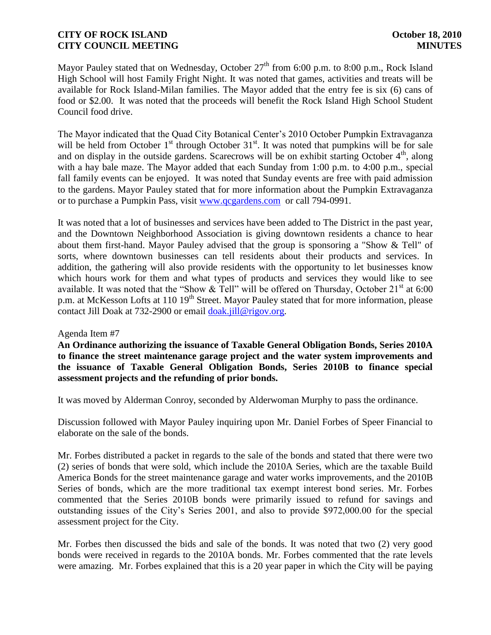Mayor Pauley stated that on Wednesday, October  $27<sup>th</sup>$  from 6:00 p.m. to 8:00 p.m., Rock Island High School will host Family Fright Night. It was noted that games, activities and treats will be available for Rock Island-Milan families. The Mayor added that the entry fee is six (6) cans of food or \$2.00. It was noted that the proceeds will benefit the Rock Island High School Student Council food drive.

The Mayor indicated that the Quad City Botanical Center's 2010 October Pumpkin Extravaganza will be held from October  $1<sup>st</sup>$  through October  $31<sup>st</sup>$ . It was noted that pumpkins will be for sale and on display in the outside gardens. Scarecrows will be on exhibit starting October  $4<sup>th</sup>$ , along with a hay bale maze. The Mayor added that each Sunday from 1:00 p.m. to 4:00 p.m., special fall family events can be enjoyed. It was noted that Sunday events are free with paid admission to the gardens. Mayor Pauley stated that for more information about the Pumpkin Extravaganza or to purchase a Pumpkin Pass, visit [www.qcgardens.com](http://www.qcgardens.com/) or call 794-0991.

It was noted that a lot of businesses and services have been added to The District in the past year, and the Downtown Neighborhood Association is giving downtown residents a chance to hear about them first-hand. Mayor Pauley advised that the group is sponsoring a "Show & Tell" of sorts, where downtown businesses can tell residents about their products and services. In addition, the gathering will also provide residents with the opportunity to let businesses know which hours work for them and what types of products and services they would like to see available. It was noted that the "Show & Tell" will be offered on Thursday, October  $21<sup>st</sup>$  at 6:00 p.m. at McKesson Lofts at 110 19<sup>th</sup> Street. Mayor Pauley stated that for more information, please contact Jill Doak at 732-2900 or email [doak.jill@rigov.org.](mailto:doak.jill@rigov.org)

#### Agenda Item #7

**An Ordinance authorizing the issuance of Taxable General Obligation Bonds, Series 2010A to finance the street maintenance garage project and the water system improvements and the issuance of Taxable General Obligation Bonds, Series 2010B to finance special assessment projects and the refunding of prior bonds.**

It was moved by Alderman Conroy, seconded by Alderwoman Murphy to pass the ordinance.

Discussion followed with Mayor Pauley inquiring upon Mr. Daniel Forbes of Speer Financial to elaborate on the sale of the bonds.

Mr. Forbes distributed a packet in regards to the sale of the bonds and stated that there were two (2) series of bonds that were sold, which include the 2010A Series, which are the taxable Build America Bonds for the street maintenance garage and water works improvements, and the 2010B Series of bonds, which are the more traditional tax exempt interest bond series. Mr. Forbes commented that the Series 2010B bonds were primarily issued to refund for savings and outstanding issues of the City's Series 2001, and also to provide \$972,000.00 for the special assessment project for the City.

Mr. Forbes then discussed the bids and sale of the bonds. It was noted that two (2) very good bonds were received in regards to the 2010A bonds. Mr. Forbes commented that the rate levels were amazing. Mr. Forbes explained that this is a 20 year paper in which the City will be paying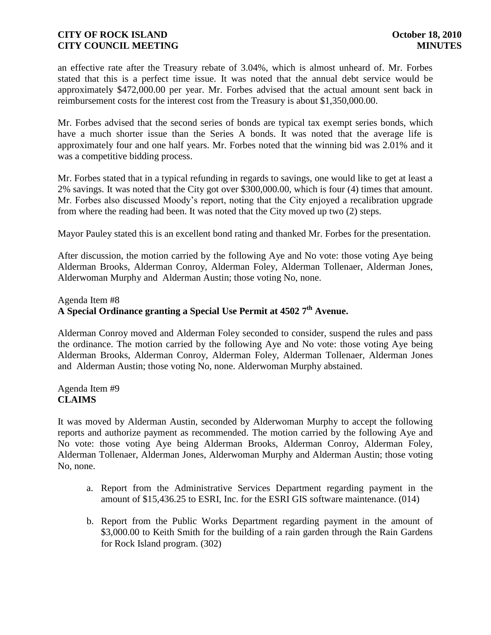an effective rate after the Treasury rebate of 3.04%, which is almost unheard of. Mr. Forbes stated that this is a perfect time issue. It was noted that the annual debt service would be approximately \$472,000.00 per year. Mr. Forbes advised that the actual amount sent back in reimbursement costs for the interest cost from the Treasury is about \$1,350,000.00.

Mr. Forbes advised that the second series of bonds are typical tax exempt series bonds, which have a much shorter issue than the Series A bonds. It was noted that the average life is approximately four and one half years. Mr. Forbes noted that the winning bid was 2.01% and it was a competitive bidding process.

Mr. Forbes stated that in a typical refunding in regards to savings, one would like to get at least a 2% savings. It was noted that the City got over \$300,000.00, which is four (4) times that amount. Mr. Forbes also discussed Moody's report, noting that the City enjoyed a recalibration upgrade from where the reading had been. It was noted that the City moved up two (2) steps.

Mayor Pauley stated this is an excellent bond rating and thanked Mr. Forbes for the presentation.

After discussion, the motion carried by the following Aye and No vote: those voting Aye being Alderman Brooks, Alderman Conroy, Alderman Foley, Alderman Tollenaer, Alderman Jones, Alderwoman Murphy and Alderman Austin; those voting No, none.

#### Agenda Item #8

# **A Special Ordinance granting a Special Use Permit at 4502 7th Avenue.**

Alderman Conroy moved and Alderman Foley seconded to consider, suspend the rules and pass the ordinance. The motion carried by the following Aye and No vote: those voting Aye being Alderman Brooks, Alderman Conroy, Alderman Foley, Alderman Tollenaer, Alderman Jones and Alderman Austin; those voting No, none. Alderwoman Murphy abstained.

Agenda Item #9 **CLAIMS**

It was moved by Alderman Austin, seconded by Alderwoman Murphy to accept the following reports and authorize payment as recommended. The motion carried by the following Aye and No vote: those voting Aye being Alderman Brooks, Alderman Conroy, Alderman Foley, Alderman Tollenaer, Alderman Jones, Alderwoman Murphy and Alderman Austin; those voting No, none.

- a. Report from the Administrative Services Department regarding payment in the amount of \$15,436.25 to ESRI, Inc. for the ESRI GIS software maintenance. (014)
- b. Report from the Public Works Department regarding payment in the amount of \$3,000.00 to Keith Smith for the building of a rain garden through the Rain Gardens for Rock Island program. (302)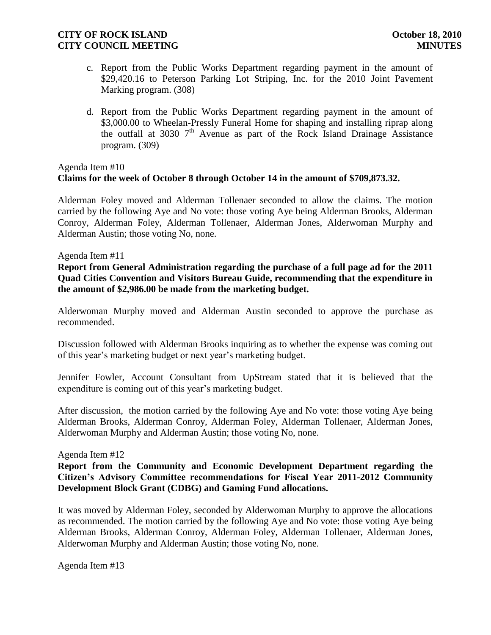- c. Report from the Public Works Department regarding payment in the amount of \$29,420.16 to Peterson Parking Lot Striping, Inc. for the 2010 Joint Pavement Marking program. (308)
- d. Report from the Public Works Department regarding payment in the amount of \$3,000.00 to Wheelan-Pressly Funeral Home for shaping and installing riprap along the outfall at 3030  $7<sup>th</sup>$  Avenue as part of the Rock Island Drainage Assistance program. (309)

# Agenda Item #10 **Claims for the week of October 8 through October 14 in the amount of \$709,873.32.**

Alderman Foley moved and Alderman Tollenaer seconded to allow the claims. The motion carried by the following Aye and No vote: those voting Aye being Alderman Brooks, Alderman Conroy, Alderman Foley, Alderman Tollenaer, Alderman Jones, Alderwoman Murphy and Alderman Austin; those voting No, none.

#### Agenda Item #11

**Report from General Administration regarding the purchase of a full page ad for the 2011 Quad Cities Convention and Visitors Bureau Guide, recommending that the expenditure in the amount of \$2,986.00 be made from the marketing budget.** 

Alderwoman Murphy moved and Alderman Austin seconded to approve the purchase as recommended.

Discussion followed with Alderman Brooks inquiring as to whether the expense was coming out of this year's marketing budget or next year's marketing budget.

Jennifer Fowler, Account Consultant from UpStream stated that it is believed that the expenditure is coming out of this year's marketing budget.

After discussion, the motion carried by the following Aye and No vote: those voting Aye being Alderman Brooks, Alderman Conroy, Alderman Foley, Alderman Tollenaer, Alderman Jones, Alderwoman Murphy and Alderman Austin; those voting No, none.

#### Agenda Item #12

# **Report from the Community and Economic Development Department regarding the Citizen's Advisory Committee recommendations for Fiscal Year 2011-2012 Community Development Block Grant (CDBG) and Gaming Fund allocations.**

It was moved by Alderman Foley, seconded by Alderwoman Murphy to approve the allocations as recommended. The motion carried by the following Aye and No vote: those voting Aye being Alderman Brooks, Alderman Conroy, Alderman Foley, Alderman Tollenaer, Alderman Jones, Alderwoman Murphy and Alderman Austin; those voting No, none.

Agenda Item #13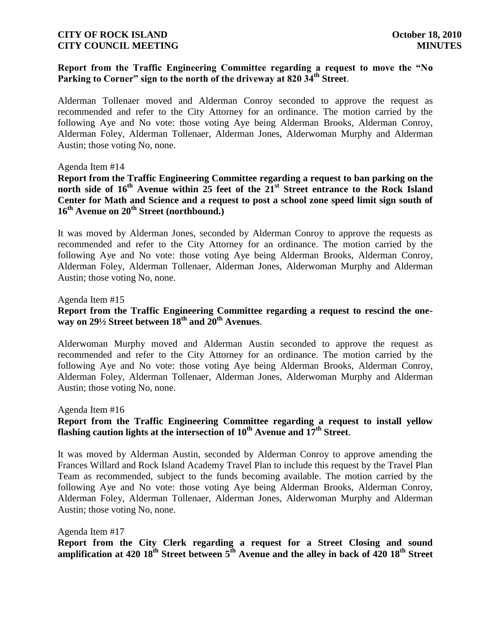# **Report from the Traffic Engineering Committee regarding a request to move the "No Parking to Corner" sign to the north of the driveway at 820 34th Street**.

Alderman Tollenaer moved and Alderman Conroy seconded to approve the request as recommended and refer to the City Attorney for an ordinance. The motion carried by the following Aye and No vote: those voting Aye being Alderman Brooks, Alderman Conroy, Alderman Foley, Alderman Tollenaer, Alderman Jones, Alderwoman Murphy and Alderman Austin; those voting No, none.

#### Agenda Item #14

**Report from the Traffic Engineering Committee regarding a request to ban parking on the north side of 16th Avenue within 25 feet of the 21st Street entrance to the Rock Island Center for Math and Science and a request to post a school zone speed limit sign south of 16th Avenue on 20th Street (northbound.)**

It was moved by Alderman Jones, seconded by Alderman Conroy to approve the requests as recommended and refer to the City Attorney for an ordinance. The motion carried by the following Aye and No vote: those voting Aye being Alderman Brooks, Alderman Conroy, Alderman Foley, Alderman Tollenaer, Alderman Jones, Alderwoman Murphy and Alderman Austin; those voting No, none.

#### Agenda Item #15

# **Report from the Traffic Engineering Committee regarding a request to rescind the oneway on 29½ Street between 18th and 20th Avenues**.

Alderwoman Murphy moved and Alderman Austin seconded to approve the request as recommended and refer to the City Attorney for an ordinance. The motion carried by the following Aye and No vote: those voting Aye being Alderman Brooks, Alderman Conroy, Alderman Foley, Alderman Tollenaer, Alderman Jones, Alderwoman Murphy and Alderman Austin; those voting No, none.

#### Agenda Item #16

# **Report from the Traffic Engineering Committee regarding a request to install yellow flashing caution lights at the intersection of 10th Avenue and 17th Street**.

It was moved by Alderman Austin, seconded by Alderman Conroy to approve amending the Frances Willard and Rock Island Academy Travel Plan to include this request by the Travel Plan Team as recommended, subject to the funds becoming available. The motion carried by the following Aye and No vote: those voting Aye being Alderman Brooks, Alderman Conroy, Alderman Foley, Alderman Tollenaer, Alderman Jones, Alderwoman Murphy and Alderman Austin; those voting No, none.

#### Agenda Item #17

**Report from the City Clerk regarding a request for a Street Closing and sound amplification at 420 18th Street between 5th Avenue and the alley in back of 420 18th Street**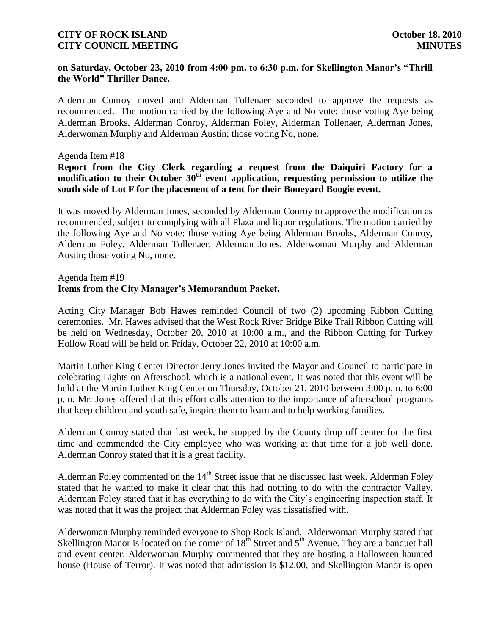#### **on Saturday, October 23, 2010 from 4:00 pm. to 6:30 p.m. for Skellington Manor's "Thrill the World" Thriller Dance.**

Alderman Conroy moved and Alderman Tollenaer seconded to approve the requests as recommended. The motion carried by the following Aye and No vote: those voting Aye being Alderman Brooks, Alderman Conroy, Alderman Foley, Alderman Tollenaer, Alderman Jones, Alderwoman Murphy and Alderman Austin; those voting No, none.

#### Agenda Item #18

# **Report from the City Clerk regarding a request from the Daiquiri Factory for a modification to their October 30th event application, requesting permission to utilize the south side of Lot F for the placement of a tent for their Boneyard Boogie event.**

It was moved by Alderman Jones, seconded by Alderman Conroy to approve the modification as recommended, subject to complying with all Plaza and liquor regulations. The motion carried by the following Aye and No vote: those voting Aye being Alderman Brooks, Alderman Conroy, Alderman Foley, Alderman Tollenaer, Alderman Jones, Alderwoman Murphy and Alderman Austin; those voting No, none.

# Agenda Item #19 **Items from the City Manager's Memorandum Packet.**

Acting City Manager Bob Hawes reminded Council of two (2) upcoming Ribbon Cutting ceremonies. Mr. Hawes advised that the West Rock River Bridge Bike Trail Ribbon Cutting will be held on Wednesday, October 20, 2010 at 10:00 a.m., and the Ribbon Cutting for Turkey Hollow Road will be held on Friday, October 22, 2010 at 10:00 a.m.

Martin Luther King Center Director Jerry Jones invited the Mayor and Council to participate in celebrating Lights on Afterschool, which is a national event. It was noted that this event will be held at the Martin Luther King Center on Thursday, October 21, 2010 between 3:00 p.m. to 6:00 p.m. Mr. Jones offered that this effort calls attention to the importance of afterschool programs that keep children and youth safe, inspire them to learn and to help working families.

Alderman Conroy stated that last week, he stopped by the County drop off center for the first time and commended the City employee who was working at that time for a job well done. Alderman Conroy stated that it is a great facility.

Alderman Foley commented on the  $14<sup>th</sup>$  Street issue that he discussed last week. Alderman Foley stated that he wanted to make it clear that this had nothing to do with the contractor Valley. Alderman Foley stated that it has everything to do with the City's engineering inspection staff. It was noted that it was the project that Alderman Foley was dissatisfied with.

Alderwoman Murphy reminded everyone to Shop Rock Island. Alderwoman Murphy stated that Skellington Manor is located on the corner of  $18<sup>th</sup>$  Street and  $5<sup>th</sup>$  Avenue. They are a banquet hall and event center. Alderwoman Murphy commented that they are hosting a Halloween haunted house (House of Terror). It was noted that admission is \$12.00, and Skellington Manor is open